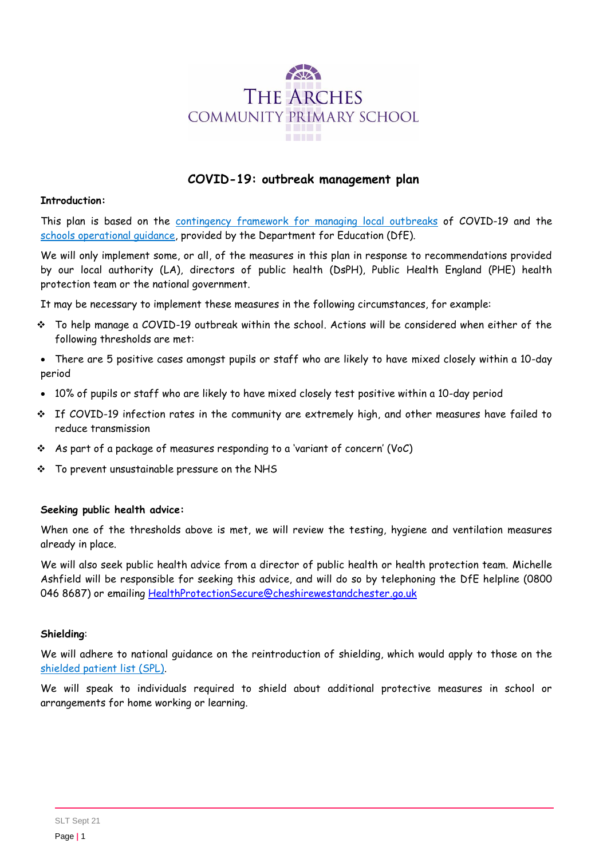

# **COVID-19: outbreak management plan**

#### **Introduction:**

This plan is based on the [contingency framework for managing local outbreaks](https://www.gov.uk/government/publications/coronavirus-covid-19-local-restrictions-in-education-and-childcare-settings) of COVID-19 and the [schools operational guidance,](https://www.gov.uk/government/publications/actions-for-schools-during-the-coronavirus-outbreak) provided by the Department for Education (DfE).

We will only implement some, or all, of the measures in this plan in response to recommendations provided by our local authority (LA), directors of public health (DsPH), Public Health England (PHE) health protection team or the national government.

It may be necessary to implement these measures in the following circumstances, for example:

- To help manage a COVID-19 outbreak within the school. Actions will be considered when either of the following thresholds are met:
- There are 5 positive cases amongst pupils or staff who are likely to have mixed closely within a 10-day period
- 10% of pupils or staff who are likely to have mixed closely test positive within a 10-day period
- $\div$  If COVID-19 infection rates in the community are extremely high, and other measures have failed to reduce transmission
- As part of a package of measures responding to a 'variant of concern' (VoC)
- \* To prevent unsustainable pressure on the NHS

#### **Seeking public health advice:**

When one of the thresholds above is met, we will review the testing, hygiene and ventilation measures already in place.

We will also seek public health advice from a director of public health or health protection team. Michelle Ashfield will be responsible for seeking this advice, and will do so by telephoning the DfE helpline (0800 046 8687) or emailing HealthProtectionSecure@cheshirewestandchester.go.uk

### **Shielding**:

We will adhere to national guidance on the reintroduction of shielding, which would apply to those on the shielded [patient list \(SPL\).](https://digital.nhs.uk/coronavirus/shielded-patient-list)

We will speak to individuals required to shield about additional protective measures in school or arrangements for home working or learning.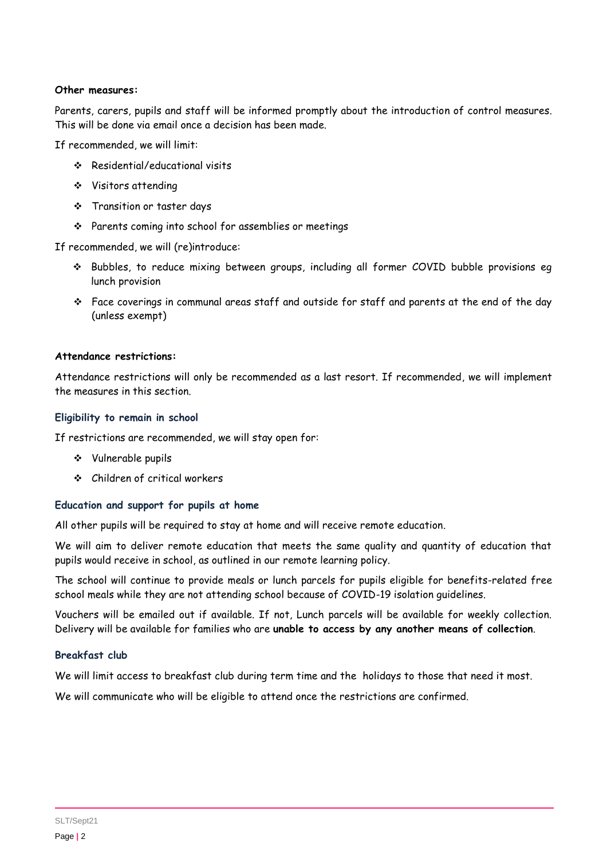#### **Other measures:**

Parents, carers, pupils and staff will be informed promptly about the introduction of control measures. This will be done via email once a decision has been made.

If recommended, we will limit:

- Residential/educational visits
- Visitors attending
- \* Transition or taster days
- Parents coming into school for assemblies or meetings

If recommended, we will (re)introduce:

- \* Bubbles, to reduce mixing between groups, including all former COVID bubble provisions eg lunch provision
- Face coverings in communal areas staff and outside for staff and parents at the end of the day (unless exempt)

#### **Attendance restrictions:**

Attendance restrictions will only be recommended as a last resort. If recommended, we will implement the measures in this section.

#### **Eligibility to remain in school**

If restrictions are recommended, we will stay open for:

- Vulnerable pupils
- Children of critical workers

### **Education and support for pupils at home**

All other pupils will be required to stay at home and will receive remote education.

We will aim to deliver remote education that meets the same quality and quantity of education that pupils would receive in school, as outlined in our remote learning policy.

The school will continue to provide meals or lunch parcels for pupils eligible for benefits-related free school meals while they are not attending school because of COVID-19 isolation guidelines.

Vouchers will be emailed out if available. If not, Lunch parcels will be available for weekly collection. Delivery will be available for families who are **unable to access by any another means of collection**.

### **Breakfast club**

We will limit access to breakfast club during term time and the holidays to those that need it most.

We will communicate who will be eligible to attend once the restrictions are confirmed.